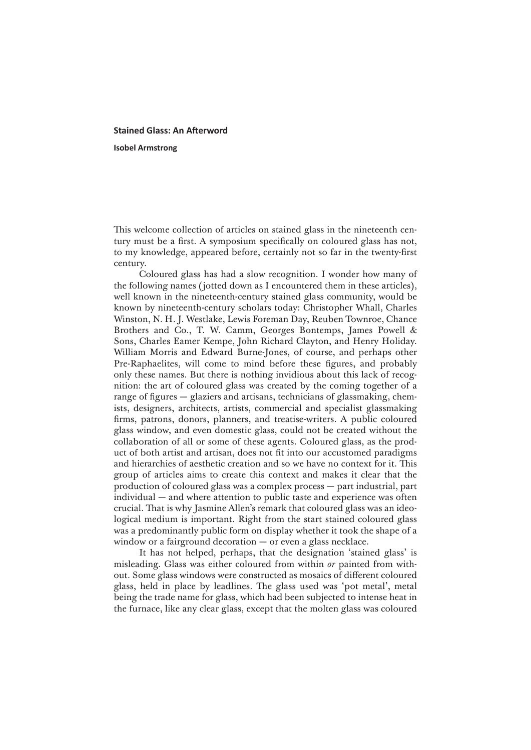## **Stained Glass: An Afterword Isobel Armstrong**

This welcome collection of articles on stained glass in the nineteenth century must be a first. A symposium specifically on coloured glass has not, to my knowledge, appeared before, certainly not so far in the twenty-first century.

Coloured glass has had a slow recognition. I wonder how many of the following names (jotted down as I encountered them in these articles), well known in the nineteenth-century stained glass community, would be known by nineteenth-century scholars today: Christopher Whall, Charles Winston, N. H. J. Westlake, Lewis Foreman Day, Reuben Townroe, Chance Brothers and Co., T. W. Camm, Georges Bontemps, James Powell & Sons, Charles Eamer Kempe, John Richard Clayton, and Henry Holiday. William Morris and Edward Burne-Jones, of course, and perhaps other Pre-Raphaelites, will come to mind before these figures, and probably only these names. But there is nothing invidious about this lack of recognition: the art of coloured glass was created by the coming together of a range of figures — glaziers and artisans, technicians of glassmaking, chemists, designers, architects, artists, commercial and specialist glassmaking firms, patrons, donors, planners, and treatise-writers. A public coloured glass window, and even domestic glass, could not be created without the collaboration of all or some of these agents. Coloured glass, as the product of both artist and artisan, does not fit into our accustomed paradigms and hierarchies of aesthetic creation and so we have no context for it. This group of articles aims to create this context and makes it clear that the production of coloured glass was a complex process — part industrial, part individual — and where attention to public taste and experience was often crucial. That is why Jasmine Allen's remark that coloured glass was an ideological medium is important. Right from the start stained coloured glass was a predominantly public form on display whether it took the shape of a window or a fairground decoration — or even a glass necklace.

It has not helped, perhaps, that the designation 'stained glass' is misleading. Glass was either coloured from within *or* painted from without. Some glass windows were constructed as mosaics of different coloured glass, held in place by leadlines. The glass used was 'pot metal', metal being the trade name for glass, which had been subjected to intense heat in the furnace, like any clear glass, except that the molten glass was coloured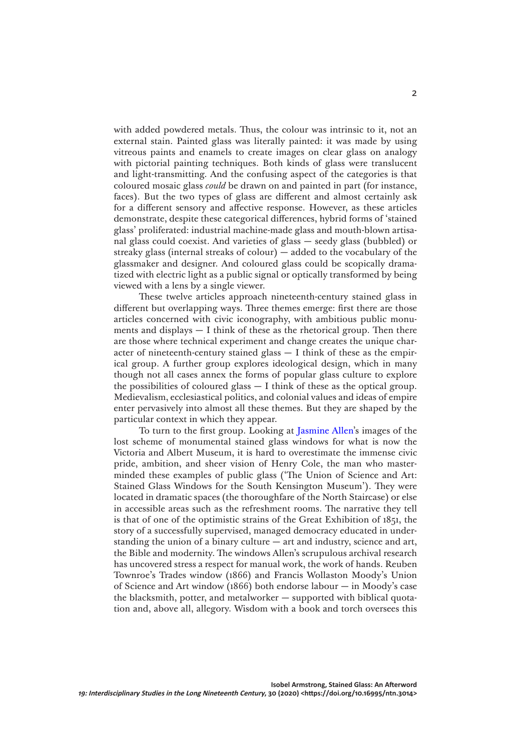with added powdered metals. Thus, the colour was intrinsic to it, not an external stain. Painted glass was literally painted: it was made by using vitreous paints and enamels to create images on clear glass on analogy with pictorial painting techniques. Both kinds of glass were translucent and light-transmitting. And the confusing aspect of the categories is that coloured mosaic glass *could* be drawn on and painted in part (for instance, faces). But the two types of glass are different and almost certainly ask for a different sensory and affective response. However, as these articles demonstrate, despite these categorical differences, hybrid forms of 'stained glass' proliferated: industrial machine-made glass and mouth-blown artisanal glass could coexist. And varieties of glass — seedy glass (bubbled) or streaky glass (internal streaks of colour) — added to the vocabulary of the glassmaker and designer. And coloured glass could be scopically dramatized with electric light as a public signal or optically transformed by being viewed with a lens by a single viewer.

These twelve articles approach nineteenth-century stained glass in different but overlapping ways. Three themes emerge: first there are those articles concerned with civic iconography, with ambitious public monuments and displays — I think of these as the rhetorical group. Then there are those where technical experiment and change creates the unique character of nineteenth-century stained glass  $-$  I think of these as the empirical group. A further group explores ideological design, which in many though not all cases annex the forms of popular glass culture to explore the possibilities of coloured glass  $-$  I think of these as the optical group. Medievalism, ecclesiastical politics, and colonial values and ideas of empire enter pervasively into almost all these themes. But they are shaped by the particular context in which they appear.

To turn to the first group. Looking at [Jasmine Allen](https://doi.org/10.16995/ntn.2899)'s images of the lost scheme of monumental stained glass windows for what is now the Victoria and Albert Museum, it is hard to overestimate the immense civic pride, ambition, and sheer vision of Henry Cole, the man who masterminded these examples of public glass ('The Union of Science and Art: Stained Glass Windows for the South Kensington Museum'). They were located in dramatic spaces (the thoroughfare of the North Staircase) or else in accessible areas such as the refreshment rooms. The narrative they tell is that of one of the optimistic strains of the Great Exhibition of 1851, the story of a successfully supervised, managed democracy educated in understanding the union of a binary culture — art and industry, science and art, the Bible and modernity. The windows Allen's scrupulous archival research has uncovered stress a respect for manual work, the work of hands. Reuben Townroe's Trades window (1866) and Francis Wollaston Moody's Union of Science and Art window (1866) both endorse labour — in Moody's case the blacksmith, potter, and metalworker — supported with biblical quotation and, above all, allegory. Wisdom with a book and torch oversees this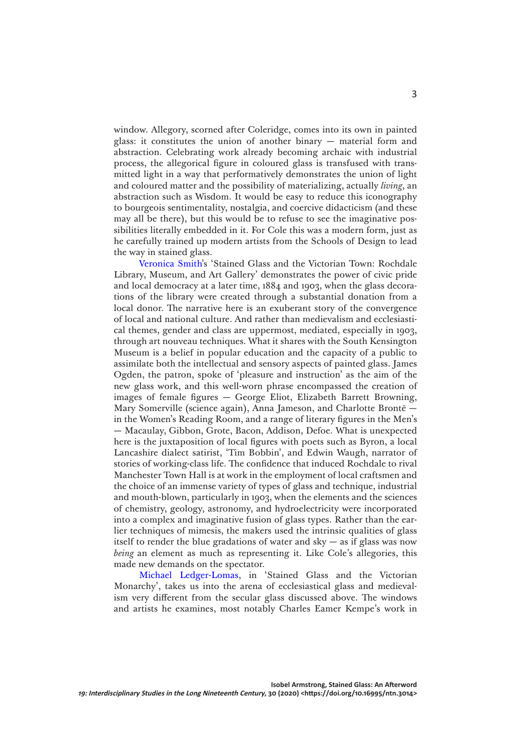window. Allegory, scorned after Coleridge, comes into its own in painted glass: it constitutes the union of another binary — material form and abstraction. Celebrating work already becoming archaic with industrial process, the allegorical figure in coloured glass is transfused with transmitted light in a way that performatively demonstrates the union of light and coloured matter and the possibility of materializing, actually *living*, an abstraction such as Wisdom. It would be easy to reduce this iconography to bourgeois sentimentality, nostalgia, and coercive didacticism (and these may all be there), but this would be to refuse to see the imaginative possibilities literally embedded in it. For Cole this was a modern form, just as he carefully trained up modern artists from the Schools of Design to lead the way in stained glass.

[Veronica Smith'](https://doi.org/10.16995/ntn.2898)s 'Stained Glass and the Victorian Town: Rochdale Library, Museum, and Art Gallery' demonstrates the power of civic pride and local democracy at a later time, 1884 and 1903, when the glass decorations of the library were created through a substantial donation from a local donor. The narrative here is an exuberant story of the convergence of local and national culture. And rather than medievalism and ecclesiastical themes, gender and class are uppermost, mediated, especially in 1903, through art nouveau techniques. What it shares with the South Kensington Museum is a belief in popular education and the capacity of a public to assimilate both the intellectual and sensory aspects of painted glass. James Ogden, the patron, spoke of 'pleasure and instruction' as the aim of the new glass work, and this well-worn phrase encompassed the creation of images of female figures — George Eliot, Elizabeth Barrett Browning, Mary Somerville (science again), Anna Jameson, and Charlotte Brontë in the Women's Reading Room, and a range of literary figures in the Men's — Macaulay, Gibbon, Grote, Bacon, Addison, Defoe. What is unexpected here is the juxtaposition of local figures with poets such as Byron, a local Lancashire dialect satirist, 'Tim Bobbin', and Edwin Waugh, narrator of stories of working-class life. The confidence that induced Rochdale to rival Manchester Town Hall is at work in the employment of local craftsmen and the choice of an immense variety of types of glass and technique, industrial and mouth-blown, particularly in 1903, when the elements and the sciences of chemistry, geology, astronomy, and hydroelectricity were incorporated into a complex and imaginative fusion of glass types. Rather than the earlier techniques of mimesis, the makers used the intrinsic qualities of glass itself to render the blue gradations of water and  $sky - as$  if glass was now *being* an element as much as representing it. Like Cole's allegories, this made new demands on the spectator.

[Michael Ledger-Lomas,](https://doi.org/10.16995/ntn.2896) in 'Stained Glass and the Victorian Monarchy', takes us into the arena of ecclesiastical glass and medievalism very different from the secular glass discussed above. The windows and artists he examines, most notably Charles Eamer Kempe's work in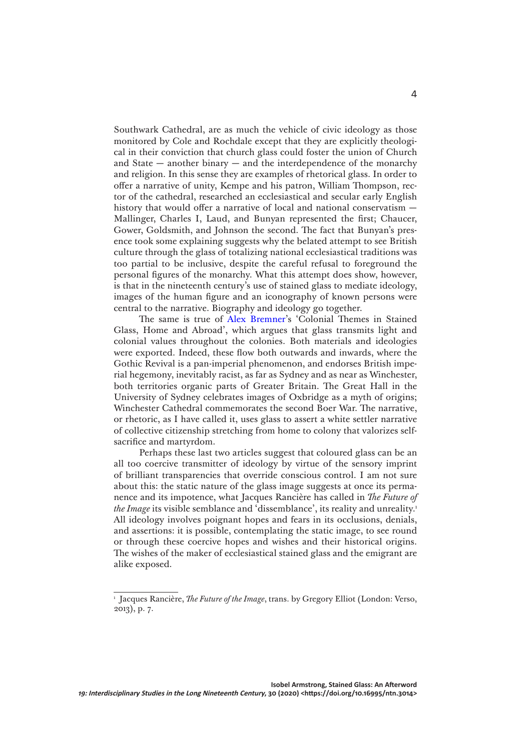Southwark Cathedral, are as much the vehicle of civic ideology as those monitored by Cole and Rochdale except that they are explicitly theological in their conviction that church glass could foster the union of Church and State  $-$  another binary  $-$  and the interdependence of the monarchy and religion. In this sense they are examples of rhetorical glass. In order to offer a narrative of unity, Kempe and his patron, William Thompson, rector of the cathedral, researched an ecclesiastical and secular early English history that would offer a narrative of local and national conservatism — Mallinger, Charles I, Laud, and Bunyan represented the first; Chaucer, Gower, Goldsmith, and Johnson the second. The fact that Bunyan's presence took some explaining suggests why the belated attempt to see British culture through the glass of totalizing national ecclesiastical traditions was too partial to be inclusive, despite the careful refusal to foreground the personal figures of the monarchy. What this attempt does show, however, is that in the nineteenth century's use of stained glass to mediate ideology, images of the human figure and an iconography of known persons were central to the narrative. Biography and ideology go together.

The same is true of [Alex Bremner](https://doi.org/10.16995/ntn.2900)'s 'Colonial Themes in Stained Glass, Home and Abroad', which argues that glass transmits light and colonial values throughout the colonies. Both materials and ideologies were exported. Indeed, these flow both outwards and inwards, where the Gothic Revival is a pan-imperial phenomenon, and endorses British imperial hegemony, inevitably racist, as far as Sydney and as near as Winchester, both territories organic parts of Greater Britain. The Great Hall in the University of Sydney celebrates images of Oxbridge as a myth of origins; Winchester Cathedral commemorates the second Boer War. The narrative, or rhetoric, as I have called it, uses glass to assert a white settler narrative of collective citizenship stretching from home to colony that valorizes selfsacrifice and martyrdom.

Perhaps these last two articles suggest that coloured glass can be an all too coercive transmitter of ideology by virtue of the sensory imprint of brilliant transparencies that override conscious control. I am not sure about this: the static nature of the glass image suggests at once its permanence and its impotence, what Jacques Rancière has called in *The Future of the Image* its visible semblance and 'dissemblance', its reality and unreality.<sup>1</sup> All ideology involves poignant hopes and fears in its occlusions, denials, and assertions: it is possible, contemplating the static image, to see round or through these coercive hopes and wishes and their historical origins. The wishes of the maker of ecclesiastical stained glass and the emigrant are alike exposed.

<sup>&</sup>lt;sup>1</sup> Jacques Rancière, *The Future of the Image*, trans. by Gregory Elliot (London: Verso, 2013), p. 7.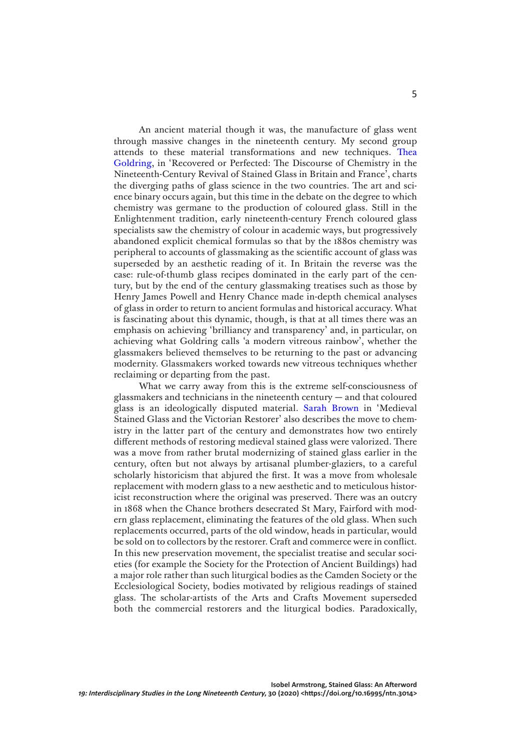An ancient material though it was, the manufacture of glass went through massive changes in the nineteenth century. My second group attends to these material transformations and new techniques. [Thea](https://doi.org/10.16995/ntn.2893)  [Goldring](https://doi.org/10.16995/ntn.2893), in 'Recovered or Perfected: The Discourse of Chemistry in the Nineteenth-Century Revival of Stained Glass in Britain and France', charts the diverging paths of glass science in the two countries. The art and science binary occurs again, but this time in the debate on the degree to which chemistry was germane to the production of coloured glass. Still in the Enlightenment tradition, early nineteenth-century French coloured glass specialists saw the chemistry of colour in academic ways, but progressively abandoned explicit chemical formulas so that by the 1880s chemistry was peripheral to accounts of glassmaking as the scientific account of glass was superseded by an aesthetic reading of it. In Britain the reverse was the case: rule-of-thumb glass recipes dominated in the early part of the century, but by the end of the century glassmaking treatises such as those by Henry James Powell and Henry Chance made in-depth chemical analyses of glass in order to return to ancient formulas and historical accuracy. What is fascinating about this dynamic, though, is that at all times there was an emphasis on achieving 'brilliancy and transparency' and, in particular, on achieving what Goldring calls 'a modern vitreous rainbow', whether the glassmakers believed themselves to be returning to the past or advancing modernity. Glassmakers worked towards new vitreous techniques whether reclaiming or departing from the past.

What we carry away from this is the extreme self-consciousness of glassmakers and technicians in the nineteenth century — and that coloured glass is an ideologically disputed material. [Sarah Brown](https://doi.org/10.16995/ntn.2901) in 'Medieval Stained Glass and the Victorian Restorer' also describes the move to chemistry in the latter part of the century and demonstrates how two entirely different methods of restoring medieval stained glass were valorized. There was a move from rather brutal modernizing of stained glass earlier in the century, often but not always by artisanal plumber-glaziers, to a careful scholarly historicism that abjured the first. It was a move from wholesale replacement with modern glass to a new aesthetic and to meticulous historicist reconstruction where the original was preserved. There was an outcry in 1868 when the Chance brothers desecrated St Mary, Fairford with modern glass replacement, eliminating the features of the old glass. When such replacements occurred, parts of the old window, heads in particular, would be sold on to collectors by the restorer. Craft and commerce were in conflict. In this new preservation movement, the specialist treatise and secular societies (for example the Society for the Protection of Ancient Buildings) had a major role rather than such liturgical bodies as the Camden Society or the Ecclesiological Society, bodies motivated by religious readings of stained glass. The scholar-artists of the Arts and Crafts Movement superseded both the commercial restorers and the liturgical bodies. Paradoxically,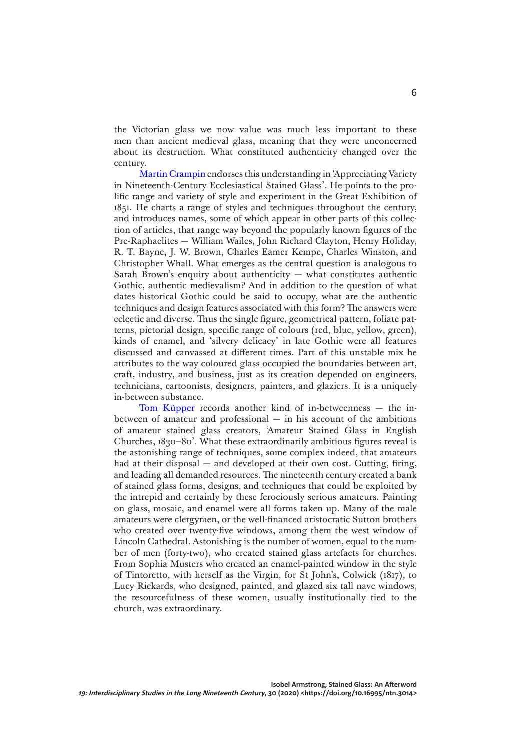the Victorian glass we now value was much less important to these men than ancient medieval glass, meaning that they were unconcerned about its destruction. What constituted authenticity changed over the century.

[Martin Crampin](https://doi.org/10.16995/ntn.2906) endorses this understanding in 'Appreciating Variety in Nineteenth-Century Ecclesiastical Stained Glass'. He points to the prolific range and variety of style and experiment in the Great Exhibition of 1851. He charts a range of styles and techniques throughout the century, and introduces names, some of which appear in other parts of this collection of articles, that range way beyond the popularly known figures of the Pre-Raphaelites — William Wailes, John Richard Clayton, Henry Holiday, R. T. Bayne, J. W. Brown, Charles Eamer Kempe, Charles Winston, and Christopher Whall. What emerges as the central question is analogous to Sarah Brown's enquiry about authenticity  $-$  what constitutes authentic Gothic, authentic medievalism? And in addition to the question of what dates historical Gothic could be said to occupy, what are the authentic techniques and design features associated with this form? The answers were eclectic and diverse. Thus the single figure, geometrical pattern, foliate patterns, pictorial design, specific range of colours (red, blue, yellow, green), kinds of enamel, and 'silvery delicacy' in late Gothic were all features discussed and canvassed at different times. Part of this unstable mix he attributes to the way coloured glass occupied the boundaries between art, craft, industry, and business, just as its creation depended on engineers, technicians, cartoonists, designers, painters, and glaziers. It is a uniquely in-between substance.

[Tom Küpper](https://doi.org/10.16995/ntn.2895) records another kind of in-betweenness — the inbetween of amateur and professional  $-$  in his account of the ambitions of amateur stained glass creators, 'Amateur Stained Glass in English Churches, 1830–80'. What these extraordinarily ambitious figures reveal is the astonishing range of techniques, some complex indeed, that amateurs had at their disposal — and developed at their own cost. Cutting, firing, and leading all demanded resources. The nineteenth century created a bank of stained glass forms, designs, and techniques that could be exploited by the intrepid and certainly by these ferociously serious amateurs. Painting on glass, mosaic, and enamel were all forms taken up. Many of the male amateurs were clergymen, or the well-financed aristocratic Sutton brothers who created over twenty-five windows, among them the west window of Lincoln Cathedral. Astonishing is the number of women, equal to the number of men (forty-two), who created stained glass artefacts for churches. From Sophia Musters who created an enamel-painted window in the style of Tintoretto, with herself as the Virgin, for St John's, Colwick (1817), to Lucy Rickards, who designed, painted, and glazed six tall nave windows, the resourcefulness of these women, usually institutionally tied to the church, was extraordinary.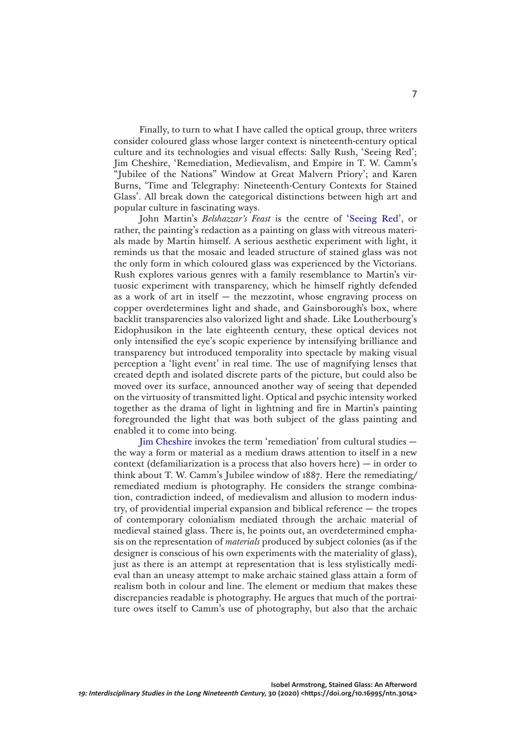Finally, to turn to what I have called the optical group, three writers consider coloured glass whose larger context is nineteenth-century optical culture and its technologies and visual effects: Sally Rush, 'Seeing Red'; Jim Cheshire, 'Remediation, Medievalism, and Empire in T. W. Camm's "Jubilee of the Nations" Window at Great Malvern Priory'; and Karen Burns, 'Time and Telegraphy: Nineteenth-Century Contexts for Stained Glass'. All break down the categorical distinctions between high art and popular culture in fascinating ways.

John Martin's *Belshazzar's Feast* is the centre of ['Seeing Red',](https://doi.org/10.16995/ntn.2897) or rather, the painting's redaction as a painting on glass with vitreous materials made by Martin himself. A serious aesthetic experiment with light, it reminds us that the mosaic and leaded structure of stained glass was not the only form in which coloured glass was experienced by the Victorians. Rush explores various genres with a family resemblance to Martin's virtuosic experiment with transparency, which he himself rightly defended as a work of art in itself  $-$  the mezzotint, whose engraving process on copper overdetermines light and shade, and Gainsborough's box, where backlit transparencies also valorized light and shade. Like Loutherbourg's Eidophusikon in the late eighteenth century, these optical devices not only intensified the eye's scopic experience by intensifying brilliance and transparency but introduced temporality into spectacle by making visual perception a 'light event' in real time. The use of magnifying lenses that created depth and isolated discrete parts of the picture, but could also be moved over its surface, announced another way of seeing that depended on the virtuosity of transmitted light. Optical and psychic intensity worked together as the drama of light in lightning and fire in Martin's painting foregrounded the light that was both subject of the glass painting and enabled it to come into being.

[Jim Cheshire](https://doi.org/10.16995/ntn.2903) invokes the term 'remediation' from cultural studies the way a form or material as a medium draws attention to itself in a new context (defamiliarization is a process that also hovers here)  $-$  in order to think about T. W. Camm's Jubilee window of 1887. Here the remediating/ remediated medium is photography. He considers the strange combination, contradiction indeed, of medievalism and allusion to modern industry, of providential imperial expansion and biblical reference — the tropes of contemporary colonialism mediated through the archaic material of medieval stained glass. There is, he points out, an overdetermined emphasis on the representation of *materials* produced by subject colonies (as if the designer is conscious of his own experiments with the materiality of glass), just as there is an attempt at representation that is less stylistically medieval than an uneasy attempt to make archaic stained glass attain a form of realism both in colour and line. The element or medium that makes these discrepancies readable is photography. He argues that much of the portraiture owes itself to Camm's use of photography, but also that the archaic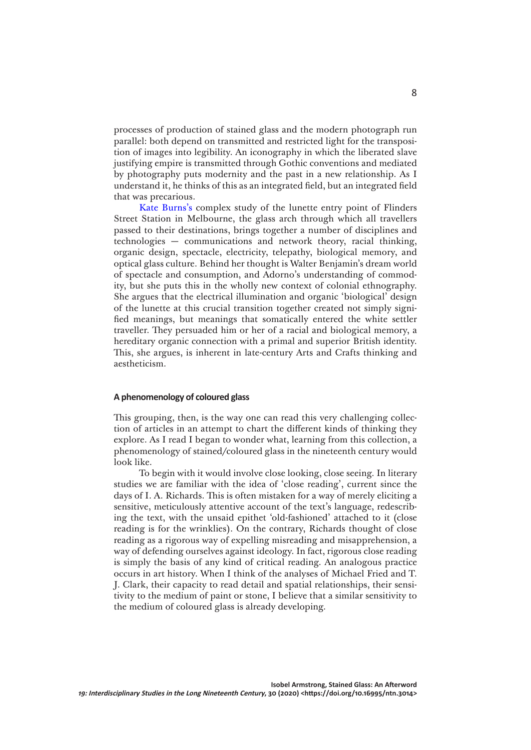processes of production of stained glass and the modern photograph run parallel: both depend on transmitted and restricted light for the transposition of images into legibility. An iconography in which the liberated slave justifying empire is transmitted through Gothic conventions and mediated by photography puts modernity and the past in a new relationship. As I understand it, he thinks of this as an integrated field, but an integrated field that was precarious.

[Kate Burns's](https://doi.org/10.16995/ntn.2902) complex study of the lunette entry point of Flinders Street Station in Melbourne, the glass arch through which all travellers passed to their destinations, brings together a number of disciplines and technologies — communications and network theory, racial thinking, organic design, spectacle, electricity, telepathy, biological memory, and optical glass culture. Behind her thought is Walter Benjamin's dream world of spectacle and consumption, and Adorno's understanding of commodity, but she puts this in the wholly new context of colonial ethnography. She argues that the electrical illumination and organic 'biological' design of the lunette at this crucial transition together created not simply signified meanings, but meanings that somatically entered the white settler traveller. They persuaded him or her of a racial and biological memory, a hereditary organic connection with a primal and superior British identity. This, she argues, is inherent in late-century Arts and Crafts thinking and aestheticism.

## **A phenomenology of coloured glass**

This grouping, then, is the way one can read this very challenging collection of articles in an attempt to chart the different kinds of thinking they explore. As I read I began to wonder what, learning from this collection, a phenomenology of stained/coloured glass in the nineteenth century would look like.

To begin with it would involve close looking, close seeing. In literary studies we are familiar with the idea of 'close reading', current since the days of I. A. Richards. This is often mistaken for a way of merely eliciting a sensitive, meticulously attentive account of the text's language, redescribing the text, with the unsaid epithet 'old-fashioned' attached to it (close reading is for the wrinklies). On the contrary, Richards thought of close reading as a rigorous way of expelling misreading and misapprehension, a way of defending ourselves against ideology. In fact, rigorous close reading is simply the basis of any kind of critical reading. An analogous practice occurs in art history. When I think of the analyses of Michael Fried and T. J. Clark, their capacity to read detail and spatial relationships, their sensitivity to the medium of paint or stone, I believe that a similar sensitivity to the medium of coloured glass is already developing.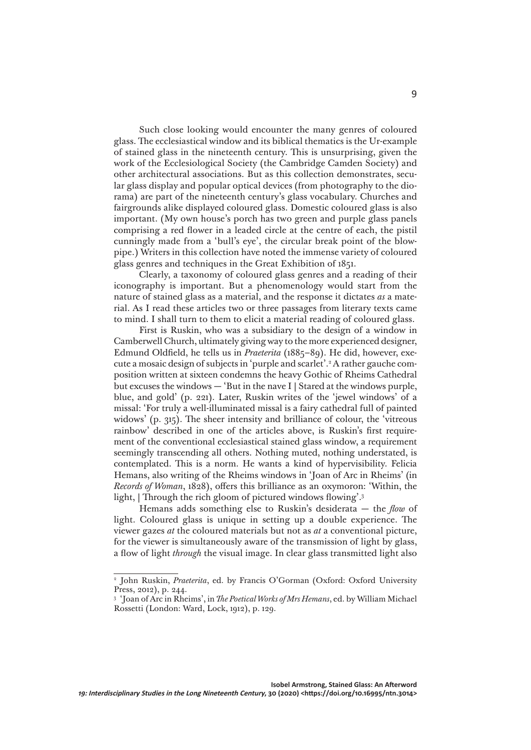Such close looking would encounter the many genres of coloured glass. The ecclesiastical window and its biblical thematics is the Ur-example of stained glass in the nineteenth century. This is unsurprising, given the work of the Ecclesiological Society (the Cambridge Camden Society) and other architectural associations. But as this collection demonstrates, secular glass display and popular optical devices (from photography to the diorama) are part of the nineteenth century's glass vocabulary. Churches and fairgrounds alike displayed coloured glass. Domestic coloured glass is also important. (My own house's porch has two green and purple glass panels comprising a red flower in a leaded circle at the centre of each, the pistil cunningly made from a 'bull's eye', the circular break point of the blowpipe.) Writers in this collection have noted the immense variety of coloured glass genres and techniques in the Great Exhibition of 1851.

Clearly, a taxonomy of coloured glass genres and a reading of their iconography is important. But a phenomenology would start from the nature of stained glass as a material, and the response it dictates *as* a material. As I read these articles two or three passages from literary texts came to mind. I shall turn to them to elicit a material reading of coloured glass.

First is Ruskin, who was a subsidiary to the design of a window in Camberwell Church, ultimately giving way to the more experienced designer, Edmund Oldfield, he tells us in *Praeterita* (1885–89). He did, however, execute a mosaic design of subjects in 'purple and scarlet'.2 A rather gauche composition written at sixteen condemns the heavy Gothic of Rheims Cathedral but excuses the windows — 'But in the nave I | Stared at the windows purple, blue, and gold' (p. 221). Later, Ruskin writes of the 'jewel windows' of a missal: 'For truly a well-illuminated missal is a fairy cathedral full of painted widows' (p. 315). The sheer intensity and brilliance of colour, the 'vitreous rainbow' described in one of the articles above, is Ruskin's first requirement of the conventional ecclesiastical stained glass window, a requirement seemingly transcending all others. Nothing muted, nothing understated, is contemplated. This is a norm. He wants a kind of hypervisibility. Felicia Hemans, also writing of the Rheims windows in 'Joan of Arc in Rheims' (in *Records of Woman*, 1828), offers this brilliance as an oxymoron: 'Within, the light, | Through the rich gloom of pictured windows flowing'.3

Hemans adds something else to Ruskin's desiderata — the *flow* of light. Coloured glass is unique in setting up a double experience. The viewer gazes *at* the coloured materials but not as *at* a conventional picture, for the viewer is simultaneously aware of the transmission of light by glass, a flow of light *through* the visual image. In clear glass transmitted light also

<sup>&</sup>lt;sup>2</sup> John Ruskin, *Praeterita*, ed. by Francis O'Gorman (Oxford: Oxford University Press, 2012), p. 244.

<sup>3</sup> 'Joan of Arc in Rheims', in *The Poetical Works of Mrs Hemans*, ed. by William Michael Rossetti (London: Ward, Lock, 1912), p. 129.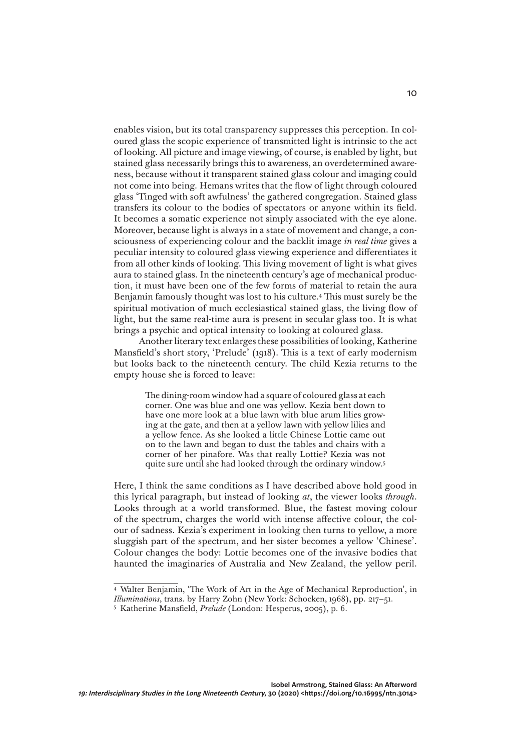enables vision, but its total transparency suppresses this perception. In coloured glass the scopic experience of transmitted light is intrinsic to the act of looking. All picture and image viewing, of course, is enabled by light, but stained glass necessarily brings this to awareness, an overdetermined awareness, because without it transparent stained glass colour and imaging could not come into being. Hemans writes that the flow of light through coloured glass 'Tinged with soft awfulness' the gathered congregation. Stained glass transfers its colour to the bodies of spectators or anyone within its field. It becomes a somatic experience not simply associated with the eye alone. Moreover, because light is always in a state of movement and change, a consciousness of experiencing colour and the backlit image *in real time* gives a peculiar intensity to coloured glass viewing experience and differentiates it from all other kinds of looking. This living movement of light is what gives aura to stained glass. In the nineteenth century's age of mechanical production, it must have been one of the few forms of material to retain the aura Benjamin famously thought was lost to his culture.4 This must surely be the spiritual motivation of much ecclesiastical stained glass, the living flow of light, but the same real-time aura is present in secular glass too. It is what brings a psychic and optical intensity to looking at coloured glass.

Another literary text enlarges these possibilities of looking, Katherine Mansfield's short story, 'Prelude' (1918). This is a text of early modernism but looks back to the nineteenth century. The child Kezia returns to the empty house she is forced to leave:

> The dining-room window had a square of coloured glass at each corner. One was blue and one was yellow. Kezia bent down to have one more look at a blue lawn with blue arum lilies growing at the gate, and then at a yellow lawn with yellow lilies and a yellow fence. As she looked a little Chinese Lottie came out on to the lawn and began to dust the tables and chairs with a corner of her pinafore. Was that really Lottie? Kezia was not quite sure until she had looked through the ordinary window.5

Here, I think the same conditions as I have described above hold good in this lyrical paragraph, but instead of looking *at*, the viewer looks *through*. Looks through at a world transformed. Blue, the fastest moving colour of the spectrum, charges the world with intense affective colour, the colour of sadness. Kezia's experiment in looking then turns to yellow, a more sluggish part of the spectrum, and her sister becomes a yellow 'Chinese'. Colour changes the body: Lottie becomes one of the invasive bodies that haunted the imaginaries of Australia and New Zealand, the yellow peril.

<sup>4</sup> Walter Benjamin, 'The Work of Art in the Age of Mechanical Reproduction', in *Illuminations*, trans. by Harry Zohn (New York: Schocken, 1968), pp. 217–51.

<sup>5</sup> Katherine Mansfield, *Prelude* (London: Hesperus, 2005), p. 6.